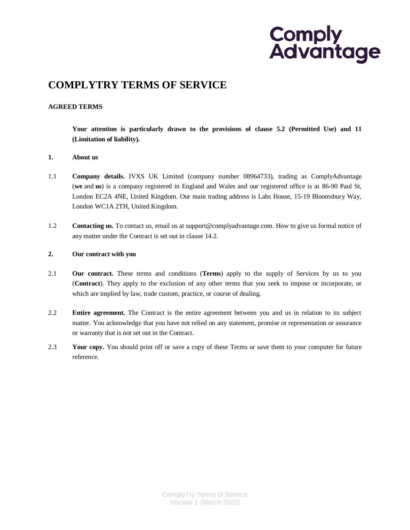# **COMPLYTRY TERMS OF SERVICE**

### **AGREED TERMS**

**Your attention is particularly drawn to the provisions of clause 5.2 (Permitted Use) and [11](#page-6-0) (Limitation of liability).**

#### **1. About us**

- 1.1 **Company details.** IVXS UK Limited (company number 08964733), trading as ComplyAdvantage (**we** and **us**) is a company registered in England and Wales and our registered office is at 86-90 Paul St, London EC2A 4NE, United Kingdom. Our main trading address is Labs House, 15-19 Bloomsbury Way, London WC1A 2TH, United Kingdom.
- 1.2 **Contacting us.** To contact us, email us a[t support@complyadvantage.com.](mailto:support@complyadvantage.com) How to give us formal notice of any matter under the Contract is set out in [clause 14.2.](#page-8-0)

#### **2. Our contract with you**

- 2.1 **Our contract.** These terms and conditions (**Terms**) apply to the supply of Services by us to you (**Contract**). They apply to the exclusion of any other terms that you seek to impose or incorporate, or which are implied by law, trade custom, practice, or course of dealing.
- 2.2 **Entire agreement.** The Contract is the entire agreement between you and us in relation to its subject matter. You acknowledge that you have not relied on any statement, promise or representation or assurance or warranty that is not set out in the Contract.
- 2.3 **Your copy.** You should print off or save a copy of these Terms or save them to your computer for future reference.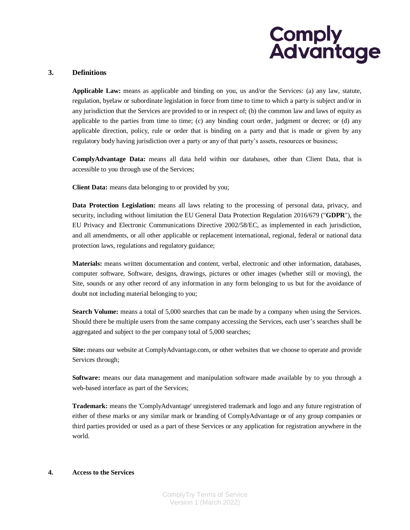### **3. Definitions**

**Applicable Law:** means as applicable and binding on you, us and/or the Services: (a) any law, statute, regulation, byelaw or subordinate legislation in force from time to time to which a party is subject and/or in any jurisdiction that the Services are provided to or in respect of; (b) the common law and laws of equity as applicable to the parties from time to time; (c) any binding court order, judgment or decree; or (d) any applicable direction, policy, rule or order that is binding on a party and that is made or given by any regulatory body having jurisdiction over a party or any of that party's assets, resources or business;

**ComplyAdvantage Data:** means all data held within our databases, other than Client Data, that is accessible to you through use of the Services;

**Client Data:** means data belonging to or provided by you;

**Data Protection Legislation:** means all laws relating to the processing of personal data, privacy, and security, including without limitation the EU General Data Protection Regulation 2016/679 ("**GDPR**"), the EU Privacy and Electronic Communications Directive 2002/58/EC, as implemented in each jurisdiction, and all amendments, or all other applicable or replacement international, regional, federal or national data protection laws, regulations and regulatory guidance;

**Materials:** means written documentation and content, verbal, electronic and other information, databases, computer software, Software, designs, drawings, pictures or other images (whether still or moving), the Site, sounds or any other record of any information in any form belonging to us but for the avoidance of doubt not including material belonging to you;

**Search Volume:** means a total of 5,000 searches that can be made by a company when using the Services. Should there be multiple users from the same company accessing the Services, each user's searches shall be aggregated and subject to the per company total of 5,000 searches;

**Site:** means our website at ComplyAdvantage.com, or other websites that we choose to operate and provide Services through;

**Software:** means our data management and manipulation software made available by to you through a web-based interface as part of the Services;

**Trademark:** means the 'ComplyAdvantage' unregistered trademark and logo and any future registration of either of these marks or any similar mark or branding of ComplyAdvantage or of any group companies or third parties provided or used as a part of these Services or any application for registration anywhere in the world.

## **4. Access to the Services**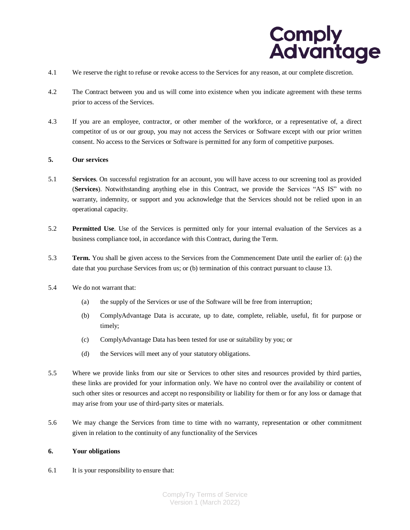

- 4.1 We reserve the right to refuse or revoke access to the Services for any reason, at our complete discretion.
- 4.2 The Contract between you and us will come into existence when you indicate agreement with these terms prior to access of the Services.
- 4.3 If you are an employee, contractor, or other member of the workforce, or a representative of, a direct competitor of us or our group, you may not access the Services or Software except with our prior written consent. No access to the Services or Software is permitted for any form of competitive purposes.

#### **5. Our services**

- 5.1 **Services**. On successful registration for an account, you will have access to our screening tool as provided (**Services**). Notwithstanding anything else in this Contract, we provide the Services "AS IS" with no warranty, indemnity, or support and you acknowledge that the Services should not be relied upon in an operational capacity.
- 5.2 **Permitted Use**. Use of the Services is permitted only for your internal evaluation of the Services as a business compliance tool, in accordance with this Contract, during the Term.
- 5.3 **Term.** You shall be given access to the Services from the Commencement Date until the earlier of: (a) the date that you purchase Services from us; or (b) termination of this contract pursuant to clause [13.](#page-8-1)
- 5.4 We do not warrant that:
	- (a) the supply of the Services or use of the Software will be free from interruption;
	- (b) ComplyAdvantage Data is accurate, up to date, complete, reliable, useful, fit for purpose or timely;
	- (c) ComplyAdvantage Data has been tested for use or suitability by you; or
	- (d) the Services will meet any of your statutory obligations.
- 5.5 Where we provide links from our site or Services to other sites and resources provided by third parties, these links are provided for your information only. We have no control over the availability or content of such other sites or resources and accept no responsibility or liability for them or for any loss or damage that may arise from your use of third-party sites or materials.
- 5.6 We may change the Services from time to time with no warranty, representation or other commitment given in relation to the continuity of any functionality of the Services

#### <span id="page-2-1"></span>**6. Your obligations**

<span id="page-2-0"></span>6.1 It is your responsibility to ensure that: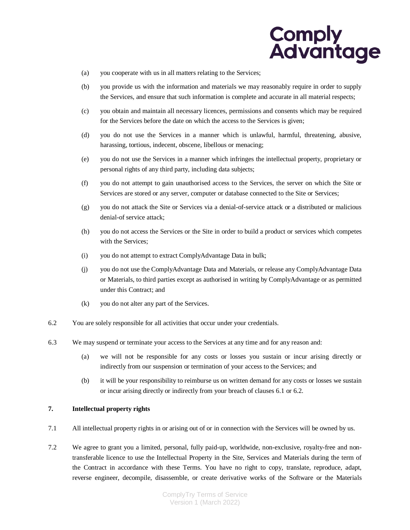

- (a) you cooperate with us in all matters relating to the Services;
- (b) you provide us with the information and materials we may reasonably require in order to supply the Services, and ensure that such information is complete and accurate in all material respects;
- (c) you obtain and maintain all necessary licences, permissions and consents which may be required for the Services before the date on which the access to the Services is given;
- (d) you do not use the Services in a manner which is unlawful, harmful, threatening, abusive, harassing, tortious, indecent, obscene, libellous or menacing;
- (e) you do not use the Services in a manner which infringes the intellectual property, proprietary or personal rights of any third party, including data subjects;
- (f) you do not attempt to gain unauthorised access to the Services, the server on which the Site or Services are stored or any server, computer or database connected to the Site or Services;
- (g) you do not attack the Site or Services via a denial-of-service attack or a distributed or malicious denial-of service attack;
- (h) you do not access the Services or the Site in order to build a product or services which competes with the Services;
- (i) you do not attempt to extract ComplyAdvantage Data in bulk;
- (j) you do not use the ComplyAdvantage Data and Materials, or release any ComplyAdvantage Data or Materials, to third parties except as authorised in writing by ComplyAdvantage or as permitted under this Contract; and
- (k) you do not alter any part of the Services.
- <span id="page-3-0"></span>6.2 You are solely responsible for all activities that occur under your credentials.
- 6.3 We may suspend or terminate your access to the Services at any time and for any reason and:
	- (a) we will not be responsible for any costs or losses you sustain or incur arising directly or indirectly from our suspension or termination of your access to the Services; and
	- (b) it will be your responsibility to reimburse us on written demand for any costs or losses we sustain or incur arising directly or indirectly from your breach of clauses [6.1](#page-2-0) or [6.2.](#page-3-0)

### **7. Intellectual property rights**

- 7.1 All intellectual property rights in or arising out of or in connection with the Services will be owned by us.
- <span id="page-3-1"></span>7.2 We agree to grant you a limited, personal, fully paid-up, worldwide, non-exclusive, royalty-free and nontransferable licence to use the Intellectual Property in the Site, Services and Materials during the term of the Contract in accordance with these Terms. You have no right to copy, translate, reproduce, adapt, reverse engineer, decompile, disassemble, or create derivative works of the Software or the Materials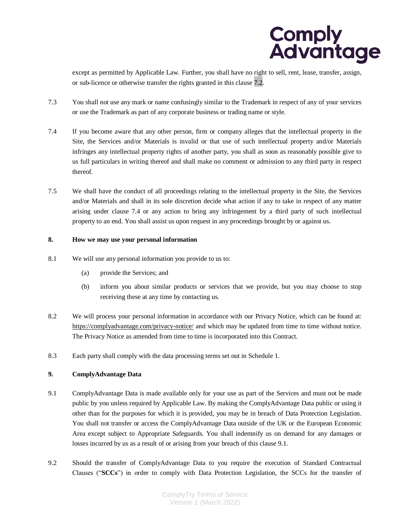

except as permitted by Applicable Law. Further, you shall have no right to sell, rent, lease, transfer, assign, or sub-licence or otherwise transfer the rights granted in this [clause 7.2.](#page-3-1)

- 7.3 You shall not use any mark or name confusingly similar to the Trademark in respect of any of your services or use the Trademark as part of any corporate business or trading name or style.
- <span id="page-4-0"></span>7.4 If you become aware that any other person, firm or company alleges that the intellectual property in the Site, the Services and/or Materials is invalid or that use of such intellectual property and/or Materials infringes any intellectual property rights of another party, you shall as soon as reasonably possible give to us full particulars in writing thereof and shall make no comment or admission to any third party in respect thereof.
- 7.5 We shall have the conduct of all proceedings relating to the intellectual property in the Site, the Services and/or Materials and shall in its sole discretion decide what action if any to take in respect of any matter arising under clause [7.4](#page-4-0) or any action to bring any infringement by a third party of such intellectual property to an end. You shall assist us upon request in any proceedings brought by or against us.

# **8. How we may use your personal information**

- 8.1 We will use any personal information you provide to us to:
	- (a) provide the Services; and
	- (b) inform you about similar products or services that we provide, but you may choose to stop receiving these at any time by contacting us.
- 8.2 We will process your personal information in accordance with our Privacy Notice, which can be found at: <https://complyadvantage.com/privacy-notice/> and which may be updated from time to time without notice. The Privacy Notice as amended from time to time is incorporated into this Contract.
- 8.3 Each party shall comply with the data processing terms set out in Schedule 1.

### **9. ComplyAdvantage Data**

- <span id="page-4-1"></span>9.1 ComplyAdvantage Data is made available only for your use as part of the Services and must not be made public by you unless required by Applicable Law. By making the ComplyAdvantage Data public or using it other than for the purposes for which it is provided, you may be in breach of Data Protection Legislation. You shall not transfer or access the ComplyAdvantage Data outside of the UK or the European Economic Area except subject to Appropriate Safeguards. You shall indemnify us on demand for any damages or losses incurred by us as a result of or arising from your breach of this clause [9.1.](#page-4-1)
- 9.2 Should the transfer of ComplyAdvantage Data to you require the execution of Standard Contractual Clauses ("**SCCs**") in order to comply with Data Protection Legislation, the SCCs for the transfer of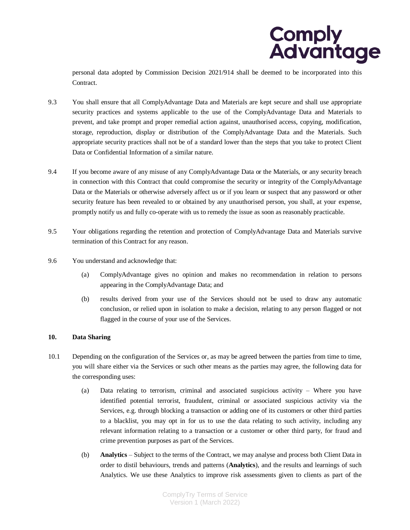

personal data adopted by Commission Decision 2021/914 shall be deemed to be incorporated into this Contract.

- 9.3 You shall ensure that all ComplyAdvantage Data and Materials are kept secure and shall use appropriate security practices and systems applicable to the use of the ComplyAdvantage Data and Materials to prevent, and take prompt and proper remedial action against, unauthorised access, copying, modification, storage, reproduction, display or distribution of the ComplyAdvantage Data and the Materials. Such appropriate security practices shall not be of a standard lower than the steps that you take to protect Client Data or Confidential Information of a similar nature.
- 9.4 If you become aware of any misuse of any ComplyAdvantage Data or the Materials, or any security breach in connection with this Contract that could compromise the security or integrity of the ComplyAdvantage Data or the Materials or otherwise adversely affect us or if you learn or suspect that any password or other security feature has been revealed to or obtained by any unauthorised person, you shall, at your expense, promptly notify us and fully co-operate with us to remedy the issue as soon as reasonably practicable.
- 9.5 Your obligations regarding the retention and protection of ComplyAdvantage Data and Materials survive termination of this Contract for any reason.
- 9.6 You understand and acknowledge that:
	- (a) ComplyAdvantage gives no opinion and makes no recommendation in relation to persons appearing in the ComplyAdvantage Data; and
	- (b) results derived from your use of the Services should not be used to draw any automatic conclusion, or relied upon in isolation to make a decision, relating to any person flagged or not flagged in the course of your use of the Services.

### **10. Data Sharing**

- 10.1 Depending on the configuration of the Services or, as may be agreed between the parties from time to time, you will share either via the Services or such other means as the parties may agree, the following data for the corresponding uses:
	- (a) Data relating to terrorism, criminal and associated suspicious activity Where you have identified potential terrorist, fraudulent, criminal or associated suspicious activity via the Services, e.g. through blocking a transaction or adding one of its customers or other third parties to a blacklist, you may opt in for us to use the data relating to such activity, including any relevant information relating to a transaction or a customer or other third party, for fraud and crime prevention purposes as part of the Services.
	- (b) **Analytics** Subject to the terms of the Contract, we may analyse and process both Client Data in order to distil behaviours, trends and patterns (**Analytics**), and the results and learnings of such Analytics. We use these Analytics to improve risk assessments given to clients as part of the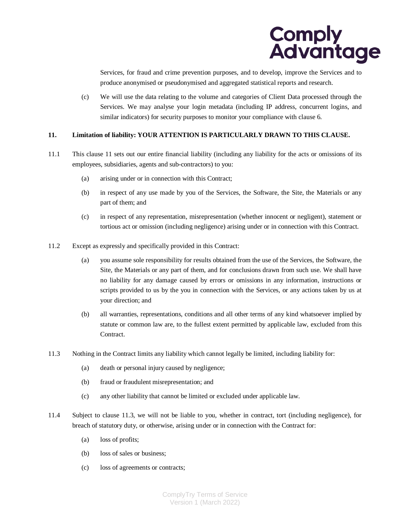

Services, for fraud and crime prevention purposes, and to develop, improve the Services and to produce anonymised or pseudonymised and aggregated statistical reports and research.

(c) We will use the data relating to the volume and categories of Client Data processed through the Services. We may analyse your login metadata (including IP address, concurrent logins, and similar indicators) for security purposes to monitor your compliance with claus[e 6.](#page-2-1)

### <span id="page-6-0"></span>**11. Limitation of liability: YOUR ATTENTION IS PARTICULARLY DRAWN TO THIS CLAUSE.**

- 11.1 This clause [11](#page-6-0) sets out our entire financial liability (including any liability for the acts or omissions of its employees, subsidiaries, agents and sub-contractors) to you:
	- (a) arising under or in connection with this Contract;
	- (b) in respect of any use made by you of the Services, the Software, the Site, the Materials or any part of them; and
	- (c) in respect of any representation, misrepresentation (whether innocent or negligent), statement or tortious act or omission (including negligence) arising under or in connection with this Contract.
- 11.2 Except as expressly and specifically provided in this Contract:
	- (a) you assume sole responsibility for results obtained from the use of the Services, the Software, the Site, the Materials or any part of them, and for conclusions drawn from such use. We shall have no liability for any damage caused by errors or omissions in any information, instructions or scripts provided to us by the you in connection with the Services, or any actions taken by us at your direction; and
	- (b) all warranties, representations, conditions and all other terms of any kind whatsoever implied by statute or common law are, to the fullest extent permitted by applicable law, excluded from this Contract.
- <span id="page-6-1"></span>11.3 Nothing in the Contract limits any liability which cannot legally be limited, including liability for:
	- (a) death or personal injury caused by negligence;
	- (b) fraud or fraudulent misrepresentation; and
	- (c) any other liability that cannot be limited or excluded under applicable law.
- 11.4 Subject to [clause 11.3,](#page-6-1) we will not be liable to you, whether in contract, tort (including negligence), for breach of statutory duty, or otherwise, arising under or in connection with the Contract for:
	- (a) loss of profits;
	- (b) loss of sales or business;
	- (c) loss of agreements or contracts;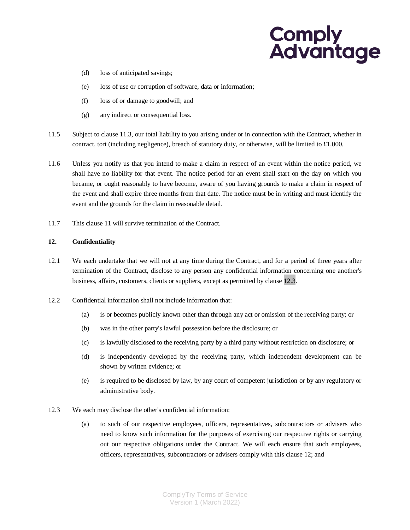- (d) loss of anticipated savings;
- (e) loss of use or corruption of software, data or information;
- (f) loss of or damage to goodwill; and
- (g) any indirect or consequential loss.
- 11.5 Subject to [clause 11.3,](#page-6-1) our total liability to you arising under or in connection with the Contract, whether in contract, tort (including negligence), breach of statutory duty, or otherwise, will be limited to £1,000.
- 11.6 Unless you notify us that you intend to make a claim in respect of an event within the notice period, we shall have no liability for that event. The notice period for an event shall start on the day on which you became, or ought reasonably to have become, aware of you having grounds to make a claim in respect of the event and shall expire three months from that date. The notice must be in writing and must identify the event and the grounds for the claim in reasonable detail.
- 11.7 Thi[s clause 11](#page-6-0) will survive termination of the Contract.

#### <span id="page-7-1"></span>**12. Confidentiality**

- 12.1 We each undertake that we will not at any time during the Contract, and for a period of three years after termination of the Contract, disclose to any person any confidential information concerning one another's business, affairs, customers, clients or suppliers, except as permitted by [clause 12.3.](#page-7-0)
- 12.2 Confidential information shall not include information that:
	- (a) is or becomes publicly known other than through any act or omission of the receiving party; or
	- (b) was in the other party's lawful possession before the disclosure; or
	- (c) is lawfully disclosed to the receiving party by a third party without restriction on disclosure; or
	- (d) is independently developed by the receiving party, which independent development can be shown by written evidence; or
	- (e) is required to be disclosed by law, by any court of competent jurisdiction or by any regulatory or administrative body.
- <span id="page-7-0"></span>12.3 We each may disclose the other's confidential information:
	- (a) to such of our respective employees, officers, representatives, subcontractors or advisers who need to know such information for the purposes of exercising our respective rights or carrying out our respective obligations under the Contract. We will each ensure that such employees, officers, representatives, subcontractors or advisers comply with this [clause 12;](#page-7-1) and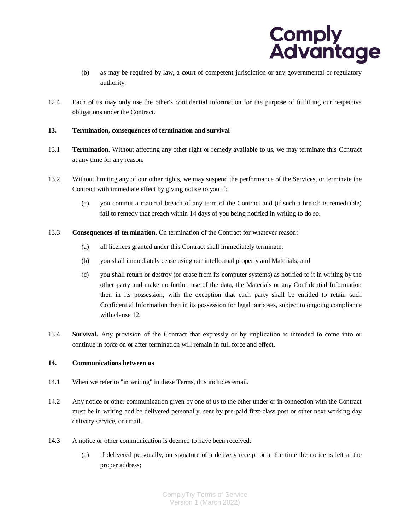

- (b) as may be required by law, a court of competent jurisdiction or any governmental or regulatory authority.
- 12.4 Each of us may only use the other's confidential information for the purpose of fulfilling our respective obligations under the Contract.

#### <span id="page-8-1"></span>**13. Termination, consequences of termination and survival**

- 13.1 **Term**i**nation.** Without affecting any other right or remedy available to us, we may terminate this Contract at any time for any reason.
- 13.2 Without limiting any of our other rights, we may suspend the performance of the Services, or terminate the Contract with immediate effect by giving notice to you if:
	- (a) you commit a material breach of any term of the Contract and (if such a breach is remediable) fail to remedy that breach within 14 days of you being notified in writing to do so.
- 13.3 **Consequences of termination.** On termination of the Contract for whatever reason:
	- (a) all licences granted under this Contract shall immediately terminate;
	- (b) you shall immediately cease using our intellectual property and Materials; and
	- (c) you shall return or destroy (or erase from its computer systems) as notified to it in writing by the other party and make no further use of the data, the Materials or any Confidential Information then in its possession, with the exception that each party shall be entitled to retain such Confidential Information then in its possession for legal purposes, subject to ongoing compliance with claus[e 12.](#page-7-1)
- 13.4 **Survival.** Any provision of the Contract that expressly or by implication is intended to come into or continue in force on or after termination will remain in full force and effect.

#### **14. Communications between us**

- 14.1 When we refer to "in writing" in these Terms, this includes email.
- <span id="page-8-0"></span>14.2 Any notice or other communication given by one of us to the other under or in connection with the Contract must be in writing and be delivered personally, sent by pre-paid first-class post or other next working day delivery service, or email.
- 14.3 A notice or other communication is deemed to have been received:
	- (a) if delivered personally, on signature of a delivery receipt or at the time the notice is left at the proper address;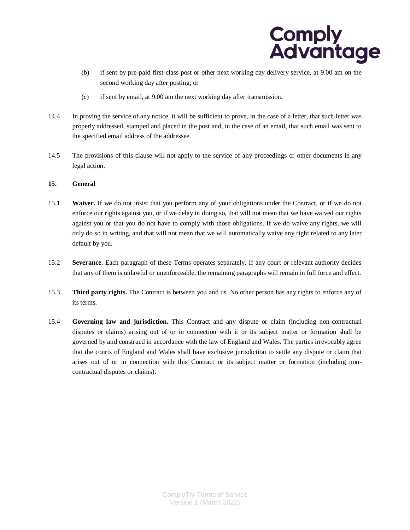

- (b) if sent by pre-paid first-class post or other next working day delivery service, at 9.00 am on the second working day after posting; or
- (c) if sent by email, at 9.00 am the next working day after transmission.
- 14.4 In proving the service of any notice, it will be sufficient to prove, in the case of a letter, that such letter was properly addressed, stamped and placed in the post and, in the case of an email, that such email was sent to the specified email address of the addressee.
- 14.5 The provisions of this clause will not apply to the service of any proceedings or other documents in any legal action.

### **15. General**

- 15.1 **Waiver.** If we do not insist that you perform any of your obligations under the Contract, or if we do not enforce our rights against you, or if we delay in doing so, that will not mean that we have waived our rights against you or that you do not have to comply with those obligations. If we do waive any rights, we will only do so in writing, and that will not mean that we will automatically waive any right related to any later default by you.
- 15.2 **Severance.** Each paragraph of these Terms operates separately. If any court or relevant authority decides that any of them is unlawful or unenforceable, the remaining paragraphs will remain in full force and effect.
- 15.3 **Third party rights.** The Contract is between you and us. No other person has any rights to enforce any of its terms.
- 15.4 **Governing law and jurisdiction.** This Contract and any dispute or claim (including non-contractual disputes or claims) arising out of or in connection with it or its subject matter or formation shall be governed by and construed in accordance with the law of England and Wales. The parties irrevocably agree that the courts of England and Wales shall have exclusive jurisdiction to settle any dispute or claim that arises out of or in connection with this Contract or its subject matter or formation (including noncontractual disputes or claims).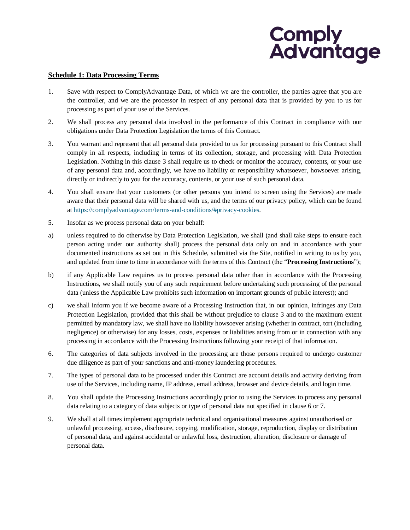### **Schedule 1: Data Processing Terms**

- 1. Save with respect to ComplyAdvantage Data, of which we are the controller, the parties agree that you are the controller, and we are the processor in respect of any personal data that is provided by you to us for processing as part of your use of the Services.
- 2. We shall process any personal data involved in the performance of this Contract in compliance with our obligations under Data Protection Legislation the terms of this Contract.
- 3. You warrant and represent that all personal data provided to us for processing pursuant to this Contract shall comply in all respects, including in terms of its collection, storage, and processing with Data Protection Legislation. Nothing in this clause 3 shall require us to check or monitor the accuracy, contents, or your use of any personal data and, accordingly, we have no liability or responsibility whatsoever, howsoever arising, directly or indirectly to you for the accuracy, contents, or your use of such personal data.
- 4. You shall ensure that your customers (or other persons you intend to screen using the Services) are made aware that their personal data will be shared with us, and the terms of our privacy policy, which can be found at [https://complyadvantage.com/terms-and-conditions/#privacy-cookies.](https://complyadvantage.com/terms-and-conditions/#privacy-cookies)
- 5. Insofar as we process personal data on your behalf:
- a) unless required to do otherwise by Data Protection Legislation, we shall (and shall take steps to ensure each person acting under our authority shall) process the personal data only on and in accordance with your documented instructions as set out in this Schedule, submitted via the Site, notified in writing to us by you, and updated from time to time in accordance with the terms of this Contract (the "**Processing Instructions**");
- b) if any Applicable Law requires us to process personal data other than in accordance with the Processing Instructions, we shall notify you of any such requirement before undertaking such processing of the personal data (unless the Applicable Law prohibits such information on important grounds of public interest); and
- c) we shall inform you if we become aware of a Processing Instruction that, in our opinion, infringes any Data Protection Legislation, provided that this shall be without prejudice to clause 3 and to the maximum extent permitted by mandatory law, we shall have no liability howsoever arising (whether in contract, tort (including negligence) or otherwise) for any losses, costs, expenses or liabilities arising from or in connection with any processing in accordance with the Processing Instructions following your receipt of that information.
- 6. The categories of data subjects involved in the processing are those persons required to undergo customer due diligence as part of your sanctions and anti-money laundering procedures.
- 7. The types of personal data to be processed under this Contract are account details and activity deriving from use of the Services, including name, IP address, email address, browser and device details, and login time.
- 8. You shall update the Processing Instructions accordingly prior to using the Services to process any personal data relating to a category of data subjects or type of personal data not specified in clause 6 or 7.
- 9. We shall at all times implement appropriate technical and organisational measures against unauthorised or unlawful processing, access, disclosure, copying, modification, storage, reproduction, display or distribution of personal data, and against accidental or unlawful loss, destruction, alteration, disclosure or damage of personal data.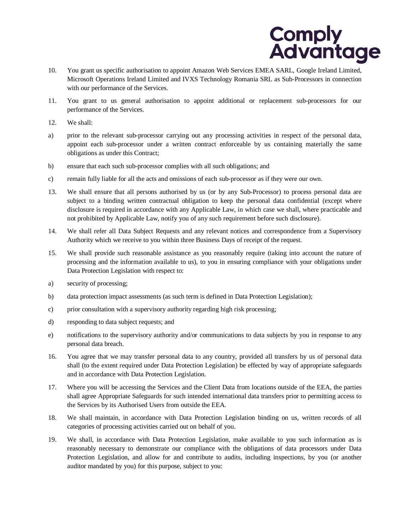

- 10. You grant us specific authorisation to appoint Amazon Web Services EMEA SARL, Google Ireland Limited, Microsoft Operations Ireland Limited and IVXS Technology Romania SRL as Sub-Processors in connection with our performance of the Services.
- 11. You grant to us general authorisation to appoint additional or replacement sub-processors for our performance of the Services.
- 12. We shall:
- a) prior to the relevant sub-processor carrying out any processing activities in respect of the personal data, appoint each sub-processor under a written contract enforceable by us containing materially the same obligations as under this Contract;
- b) ensure that each such sub-processor complies with all such obligations; and
- c) remain fully liable for all the acts and omissions of each sub-processor as if they were our own.
- 13. We shall ensure that all persons authorised by us (or by any Sub-Processor) to process personal data are subject to a binding written contractual obligation to keep the personal data confidential (except where disclosure is required in accordance with any Applicable Law, in which case we shall, where practicable and not prohibited by Applicable Law, notify you of any such requirement before such disclosure).
- 14. We shall refer all Data Subject Requests and any relevant notices and correspondence from a Supervisory Authority which we receive to you within three Business Days of receipt of the request.
- 15. We shall provide such reasonable assistance as you reasonably require (taking into account the nature of processing and the information available to us), to you in ensuring compliance with your obligations under Data Protection Legislation with respect to:
- a) security of processing;
- b) data protection impact assessments (as such term is defined in Data Protection Legislation);
- c) prior consultation with a supervisory authority regarding high risk processing;
- d) responding to data subject requests; and
- e) notifications to the supervisory authority and/or communications to data subjects by you in response to any personal data breach.
- 16. You agree that we may transfer personal data to any country, provided all transfers by us of personal data shall (to the extent required under Data Protection Legislation) be effected by way of appropriate safeguards and in accordance with Data Protection Legislation.
- 17. Where you will be accessing the Services and the Client Data from locations outside of the EEA, the parties shall agree Appropriate Safeguards for such intended international data transfers prior to permitting access to the Services by its Authorised Users from outside the EEA.
- 18. We shall maintain, in accordance with Data Protection Legislation binding on us, written records of all categories of processing activities carried out on behalf of you.
- 19. We shall, in accordance with Data Protection Legislation, make available to you such information as is reasonably necessary to demonstrate our compliance with the obligations of data processors under Data Protection Legislation, and allow for and contribute to audits, including inspections, by you (or another auditor mandated by you) for this purpose, subject to you: